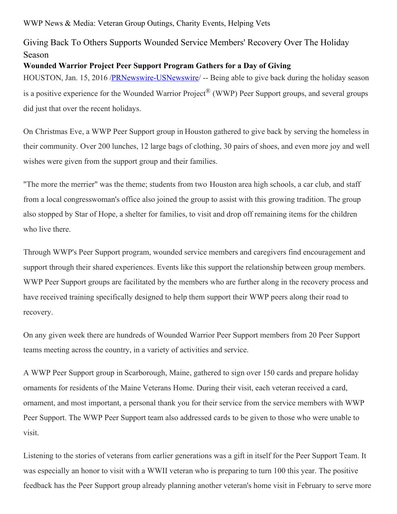WWP News & Media: Veteran Group Outings, Charity Events, Helping Vets

## Giving Back To Others Supports Wounded Service Members' Recovery Over The Holiday Season

## **Wounded Warrior Project Peer Support Program Gathers for a Day of Giving**

HOUSTON, Jan. 15, 2016 /**PRNewswire-USNewswire**/ -- Being able to give back during the holiday season is a positive experience for the Wounded Warrior Project® (WWP) Peer Support groups, and several groups did just that over the recent holidays.

On Christmas Eve, a WWP Peer Support group in Houston gathered to give back by serving the homeless in their community. Over 200 lunches, 12 large bags of clothing, 30 pairs of shoes, and even more joy and well wishes were given from the support group and their families.

"The more the merrier" was the theme; students from two Houston area high schools, a car club, and staff from a local congresswoman's office also joined the group to assist with this growing tradition. The group also stopped by Star of Hope, a shelter for families, to visit and drop off remaining items for the children who live there.

Through WWP's Peer Support program, wounded service members and caregivers find encouragement and support through their shared experiences. Events like this support the relationship between group members. WWP Peer Support groups are facilitated by the members who are further along in the recovery process and have received training specifically designed to help them support their WWP peers along their road to recovery.

On any given week there are hundreds of Wounded Warrior Peer Support members from 20 Peer Support teams meeting across the country, in a variety of activities and service.

A WWP Peer Support group in Scarborough, Maine, gathered to sign over 150 cards and prepare holiday ornaments for residents of the Maine Veterans Home. During their visit, each veteran received a card, ornament, and most important, a personal thank you for their service from the service members with WWP Peer Support. The WWP Peer Support team also addressed cards to be given to those who were unable to visit.

Listening to the stories of veterans from earlier generations was a gift in itself for the Peer Support Team. It was especially an honor to visit with a WWII veteran who is preparing to turn 100 this year. The positive feedback has the Peer Support group already planning another veteran's home visit in February to serve more